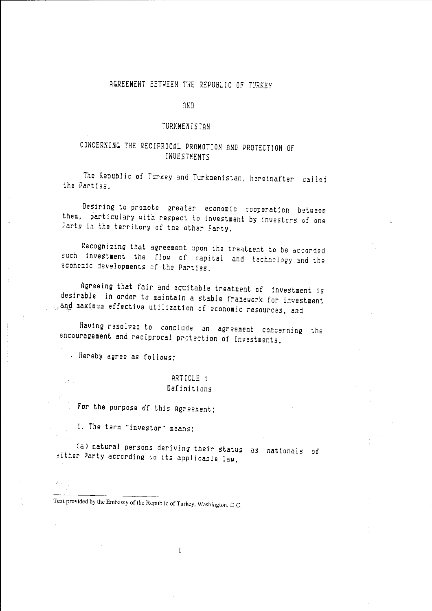### AGREEMENT BETHEEN THE REPUBLIC OF TURKEY

AND

#### TURKMENISTAN

# CONCERNING THE RECIPROCAL PROMOTION AND PROTECTION OF INVESTMENTS

The Republic of Turkey and Turkmenistan, hereinafter called the Parties.

Desiring to promote greater economic cooperation between them, particulary with respect to investment by investors of one Party in the territory of the other Party.

Recognizing that agreement upon the treatment to be accorded such investment the flow of capital and technology and the economic developments of the Parties.

Agreeing that fair and equitable treatment of investment is desirable in order to maintain a stable framework for investment  $_{\odot}$ and maximum effective utilization of economic resources, and

Having resolved to conclude an agreement concerning the encouragement and reciprocal protection of investments,

Hereby agree as follows:

JANUT

 $\mathcal{O}(\mathcal{O}_1)$  , where  $\mathcal{O}_2$ 

#### ARTICLE 1 Definitions

For the purpose of this Agreement;

1. The term "investor" means:

(a) natural persons deriving their status as nationals of either Party according to its applicable law,

 $\mathbf{1}$ 

Text provided by the Embassy of the Republic of Turkey, Washington. D.C.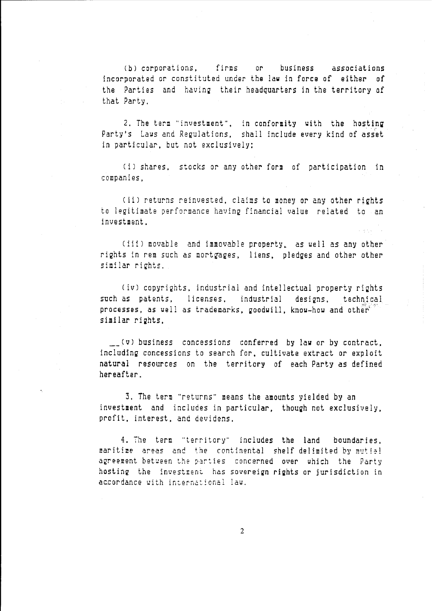CbJ corporations, firms or business associations incorporated or constituted under the law in force of either of the Parties and having their headquarters in the territory of that Party.

2. The term "investment", in conformity with the hosting Party's Laws and Regulations, shall include every kind of asset in particular, but not exclusively:

(i) shares, stocks or any other form of participation in companies,

(ii) returns reinvested, claims to money or any other rights to legitimate performance having financial value related to an investment.

(iii) movable and immovable property, as well as any other rights in rem such as mortgages, liens, pledges and other other similar rights.

(iv) copyrights, industrial and intellectual property rights such as patents, licenses, industrial designs, technical processes, as well as trademarks, goodwill, know-how and other' similar rights,

 $\Box$  (v) business concessions conferred by law or by contract, including concessions to search for, cultivate extract or exploit natural resources on the territory of each Party as defined hereafter.

3. The term "returns" means the amounts yielded by an investment and includes in particular, though not exclusively, profit. interest, and devidens.

4. The term "territory" includes the land boundaries, maritime areas and the continental shelf-delimited by mutial agreement between the parties concerned over which the Party hosting the investment has sovereign rights or jurisdiction in accordance with international law.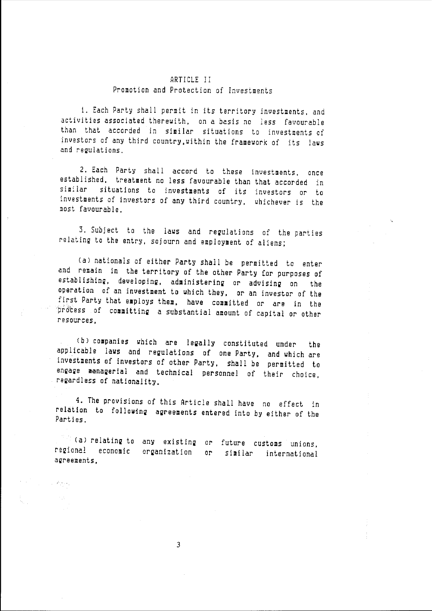#### ARTICLE II Promotion and Protection of Investments

1. Each Party shall permit in its territory investments, and activities associated therewith, on a basis no less favourable than that accorded in similar situations to investments of investors of any third country,within the framework of its Jaws and regulations.

2. Each Party shall accord to these investments, once established, treatment no less favourable than that accorded in similar situations to investments of its investors or to investments of investors of any third country, whichever is the most favourable.

3. Subject to the laws and regulations of the parties relating to the entry, sojourn and employment of aliens;

(al nationals of either Party shall be permitted to enter and remain in the territory of the ather Party (or purposes of establishing, developing, administering or advising on the operation of an investment to which they, or an investor of the first Party that employs them, have committed or are in the process of committing a substantial amount of capital or other resources,

(bl companies which are legally constituted under the applicable laws and regulations of one Party, and which are investments of investors of ather Party, shall be permitted to engage managerial and technical personnel of their choice, regardless of nationality.

4. The provisions of this Article shall have no effect in relation to folloying agreements entered into by either of the Parties.

(a) relating to any existing or future customs unions, regional economic organization or similar international agreements,

 $\mathcal{L}^{\text{max}}_{\text{max}}$  , where  $\mathcal{L}^{\text{max}}_{\text{max}}$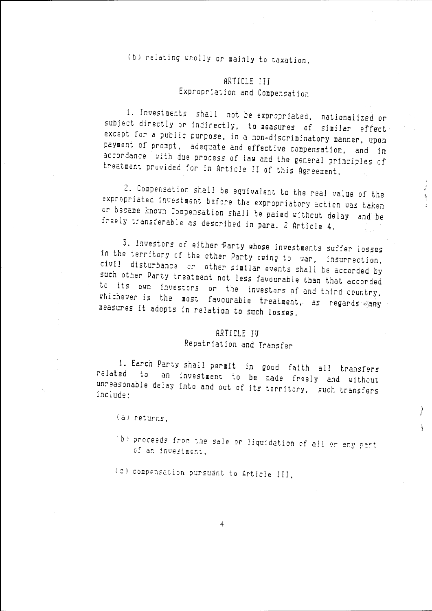(b) relating wholly or mainly to taxation.

# ARTICLE III Expropriation and Compensation

1. investments shall not be expropriated, nationalized or subject directly or indirectly, to measures of similar effect except for a public purpose, in a non-discriminatory manner, upon payment of prompt, adequate and effective compensation, and in accordance with due process of law and the general principles of treatment provided for in Article II of this Agreement.

2. Compensation shall be equivalent to the real value of the expropriated investment before the expropriatory action was taken or became known Compensation shall be paied without delay and be freely transferable as described in para. 2 Article 4.

3. Investors of either Party whose investments suffer losses in the territory of the other Party owing to war, Insurrection, civil disturbance or other similar events shall be accorded by such other Party treatment not less favourable than that accorded to its own investors or the Investors of and third country, whichever is the most favourable treatment, as regards  $_{\text{Sany}}$ 

### ARTICLE IU Repatriation and Transfer

1. Earch Party shall permit in good faith all transfers related to an investment to be made freely and without unreasonable delay into and out of its territory, such transfers<br>include:

- ta) returns.
- (b) proceeds from the sale or liquidation of all or any part of an investment.

)I 1/

 $\mathbf{1}$ 

 $\frac{1}{2}$ 

(c) compensation pursuant to Article III,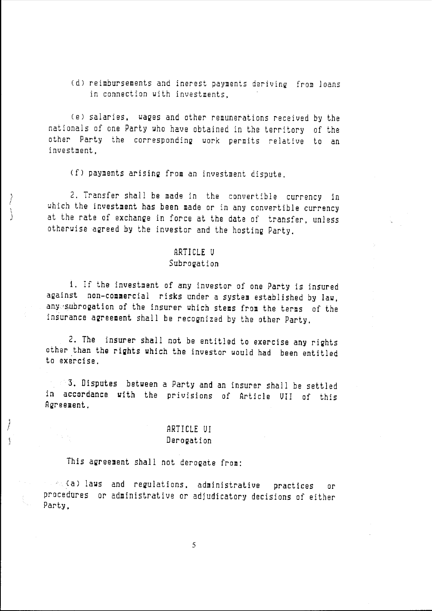(d) reimbursements and inerest payments deriving from loans in connection with investments,

Cel salaries, waQes and other remunerations received by the nationals of one Party who have obtained in the territory of the other Party the corresponding work permits relative to an investment,

(f) payments arising from an investment dispute.

2. Transfer shall be made in the convertible currency in which the investment has been made or in any convertible currency at the rate of exchange in force at the date of transfer, unless otherwise agreed by the investor and the hosting Party,

### ARTICLE U

#### Subrogation

i. If the investment of any investor of one Party is insured against non-commercial risks under a system established by law, any subrogation of the insurer which stems from the terms of the insurance agreement shall be recognized by the other Party.

2. The insurer shall not be entitled to exercise any rights other than the rights which the investor would had been entitled to exercise.

3, Disputes between a Party and an insurer shall be settled in accordance with the privisions of Article UII of this Agreement,

# ARTICLE UI Derogation

This agreement shall not derogate from:

*r,*  I

 $\mathfrak{f}$ 

and the laws and regulations, administrative practices or procedures or administrative or adjudicatory decisions of either Party,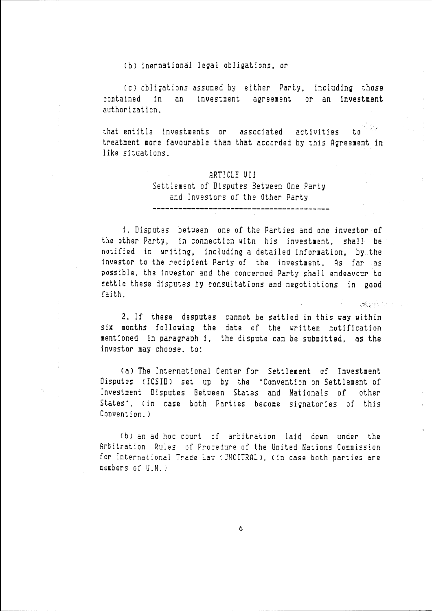(b) inernational legal obligations, or

(c) obligations assumed by either Party, including those contained in an investment agreement or an investment authorization.

that entitle investments or associated activities to treatment more favourable than that accorded by this Agreement in like situations.

### ARTICLE UII Settlement of Disputes Betueen One Party and Investors of the Other Party

1. Disputes betueen one of the Parties and one investor of the other Party, in connection witn his investment, shall be notified in uriting, including a detailed information, by the investor to the recipient Party of the investment. As far as possible, the investor and the concerned Party shall endeavour to settle these disputes by consultations and negotiotions in good faith.

2. If these desputes cannot be settled in this uay within six months follouing the date of the written notification mentioned in paragraph 1, the dispute can be submitted, as the investor may choose. to:

Cal The International Center for Settlement of Investment Disputes (ICSID) set up by the "Convention on Settlement of Investment Disputes Between States and Nationals of other States", (in case both Parties become signatories of this Convention.)

(b) an ad hoc court of arbitration laid down under the Arbitration Rules of Procedure of the United Nations Commission for International Trade Law (UNCITRAL), (in case both parties are members of U.N.)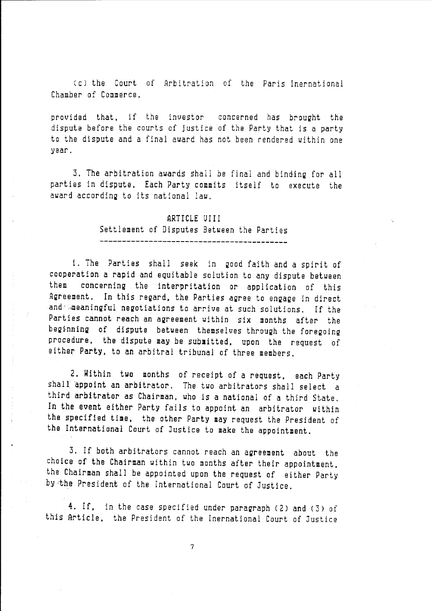Ccl the Court of Arbitration of the Paris Inernational Chamber of Commerce,

provided that, if the investor concerned has brought the dispute before the courts of justice of the Party that is a party to the dispute and a final award has not been rendered within one year.

3. The arbitration awards shall be final and binding for all parties in dispute. Each Party commits itself to execute the award according to its national law.

# ARTICLE UIII Settlement of Disputes Between the Parties

------------------------------------------

i. The Parties shall seek in good faith and a spirit of cooperation a rapid and equitable solution to any dispute between them concerning the interpritation or application of this Agreement. In this regard, the Parties agree to engage in direct and and a eaningful negotiations to arrive at such solutions. If the Parties cannot reach an agreement within six months after the beginning of dispute between themselves through the foregoing procedure, the dispute may be submitted, upon the request of either Party, to an arbitral tribunal of three members.

2. Within two months of receipt of a request, each Party shall appoint an arbitrator. The two arbitrators shall select a third arbitrator as Chairman, who is a national of a third State. In the event either Party fails to appoint an arbitrator within the specified time, the other Party may request the President of the International Court of Justice to make the appointment.

3. If both arbitrators cannot reach an agreement about the choice of the Chairman within two months after their appointment, the Chairman shall be appointed upon the request of either Party by·the President of the International Court of Justice.

4. If, in the case specified under paragraph (2) and (3) of this Article, the President of the Inernational Court of Justice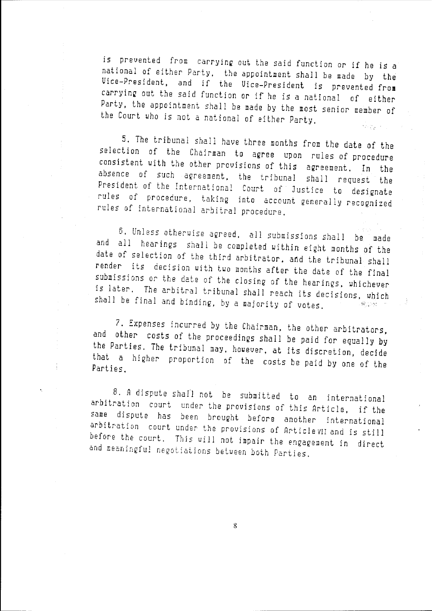is prevented from carrying out the said function or if he is a national of either Party, the appointment shall be made by the Vice-President, and if the Vice-President is prevented **from**  carryinQ out the said function or if he is a national of either Party, the appointment shall be made by the most senior member of the Court who is not a national of either Party,

5. The tribunal shall have three months from the date of the selection of the Chairman to aQree upon rules of procedure consistent with the other provisions of this aQreement. In the absence of such aereement, the tribunal shall request the President of the International Court of Justice to designate rules of procedure, taking into account generally recognized rules of international arbitral procedure.

6, Unless otherwise a2reed, all submissions shall be made and all hearings shall be completed within eight months of the date of selection of the third arbitrator, and the tribunal shall render its decision with two months after the date of the final submissions or the date of the closing of the hearings, whichever is later. The arbitral tribunal shall reach its decisions, which shall be final and bindinQ, by a majority of votes. ਲੀ ਹਾਲ ਜਾਂ

7. Expenses incurred by the Chairman, the other arbitrators, and other costs of the proceedinQs shall be paid for equally by the Parties. The tribunal may, houever, at its discretion, decide that a hieher proportion of the costs be paid by one of the Parties.

 $\frac{1}{4}$ 

8. A dispute shall not be submitted to an international arbitration court under the provisions of *this* Article, if the same dispute has been broueht before another international arbitration court under the provisions of Article vii and is still before the court. This will not impair the engagement in direct and meaninefu! neeotiations between both Parties.